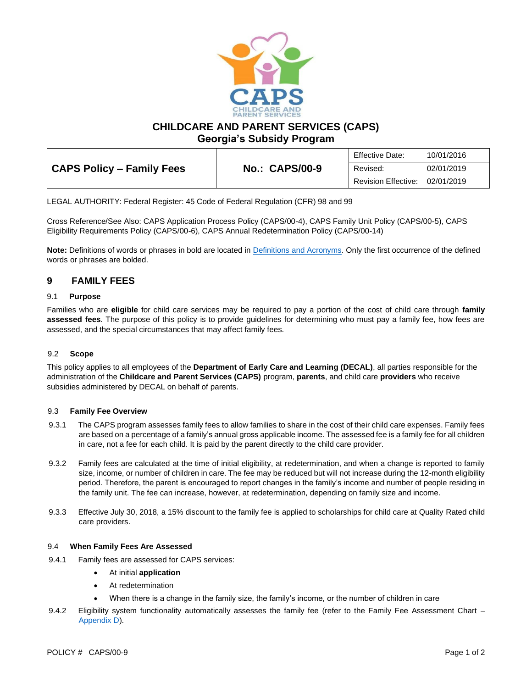

**CHILDCARE AND PARENT SERVICES (CAPS)**

**Georgia's Subsidy Program**

|                           | Effective Date:       | 10/01/2016          |            |
|---------------------------|-----------------------|---------------------|------------|
| CAPS Policy - Family Fees | <b>No.: CAPS/00-9</b> | Revised:            | 02/01/2019 |
|                           |                       | Revision Effective: | 02/01/2019 |

LEGAL AUTHORITY: Federal Register: 45 Code of Federal Regulation (CFR) 98 and 99

Cross Reference/See Also: CAPS Application Process Policy (CAPS/00-4), CAPS Family Unit Policy (CAPS/00-5), CAPS Eligibility Requirements Policy (CAPS/00-6), CAPS Annual Redetermination Policy (CAPS/00-14)

**Note:** Definitions of words or phrases in bold are located in [Definitions and Acronyms.](https://caps.decal.ga.gov/assets/downloads/CAPS/02-CAPS_Policy-Definitions%20and%20Acronyms.pdf) Only the first occurrence of the defined words or phrases are bolded.

# **9 FAMILY FEES**

#### 9.1 **Purpose**

Families who are **eligible** for child care services may be required to pay a portion of the cost of child care through **family assessed fees**. The purpose of this policy is to provide guidelines for determining who must pay a family fee, how fees are assessed, and the special circumstances that may affect family fees.

### 9.2 **Scope**

This policy applies to all employees of the **Department of Early Care and Learning (DECAL)**, all parties responsible for the administration of the **Childcare and Parent Services (CAPS)** program, **parents**, and child care **providers** who receive subsidies administered by DECAL on behalf of parents.

#### 9.3 **Family Fee Overview**

- 9.3.1 The CAPS program assesses family fees to allow families to share in the cost of their child care expenses. Family fees are based on a percentage of a family's annual gross applicable income. The assessed fee is a family fee for all children in care, not a fee for each child. It is paid by the parent directly to the child care provider.
- 9.3.2 Family fees are calculated at the time of initial eligibility, at redetermination, and when a change is reported to family size, income, or number of children in care. The fee may be reduced but will not increase during the 12-month eligibility period. Therefore, the parent is encouraged to report changes in the family's income and number of people residing in the family unit. The fee can increase, however, at redetermination, depending on family size and income.
- 9.3.3 Effective July 30, 2018, a 15% discount to the family fee is applied to scholarships for child care at Quality Rated child care providers.

#### 9.4 **When Family Fees Are Assessed**

- 9.4.1 Family fees are assessed for CAPS services:
	- At initial **application**
	- At redetermination
	- When there is a change in the family size, the family's income, or the number of children in care
- 9.4.2 Eligibility system functionality automatically assesses the family fee (refer to the Family Fee Assessment Chart -[Appendix D\)](https://caps.decal.ga.gov/assets/downloads/CAPS/AppendixD-Family%20Fee%20Assessment%20Chart.pdf).